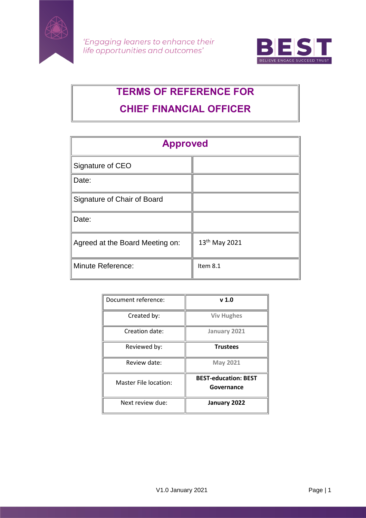



# **TERMS OF REFERENCE FOR CHIEF FINANCIAL OFFICER**

| <b>Approved</b>                 |               |
|---------------------------------|---------------|
| Signature of CEO                |               |
| Date:                           |               |
| Signature of Chair of Board     |               |
| Date:                           |               |
| Agreed at the Board Meeting on: | 13th May 2021 |
| <b>Minute Reference:</b>        | Item 8.1      |

| Document reference:          | v 1.0                                     |
|------------------------------|-------------------------------------------|
| Created by:                  | <b>Viv Hughes</b>                         |
| Creation date:               | January 2021                              |
| Reviewed by:                 | <b>Trustees</b>                           |
| Review date:                 | <b>May 2021</b>                           |
| <b>Master File location:</b> | <b>BEST-education: BEST</b><br>Governance |
| Next review due:             | January 2022                              |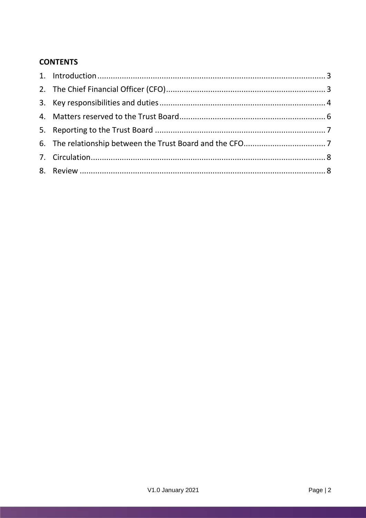# **CONTENTS**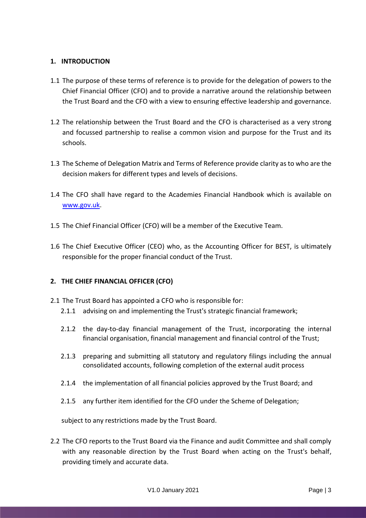## <span id="page-2-0"></span>**1. INTRODUCTION**

- 1.1 The purpose of these terms of reference is to provide for the delegation of powers to the Chief Financial Officer (CFO) and to provide a narrative around the relationship between the Trust Board and the CFO with a view to ensuring effective leadership and governance.
- 1.2 The relationship between the Trust Board and the CFO is characterised as a very strong and focussed partnership to realise a common vision and purpose for the Trust and its schools.
- 1.3 The Scheme of Delegation Matrix and Terms of Reference provide clarity as to who are the decision makers for different types and levels of decisions.
- 1.4 The CFO shall have regard to the Academies Financial Handbook which is available on [www.gov.uk.](http://www.gov.uk/)
- 1.5 The Chief Financial Officer (CFO) will be a member of the Executive Team.
- 1.6 The Chief Executive Officer (CEO) who, as the Accounting Officer for BEST, is ultimately responsible for the proper financial conduct of the Trust.

#### <span id="page-2-1"></span>**2. THE CHIEF FINANCIAL OFFICER (CFO)**

- 2.1 The Trust Board has appointed a CFO who is responsible for:
	- 2.1.1 advising on and implementing the Trust's strategic financial framework;
	- 2.1.2 the day-to-day financial management of the Trust, incorporating the internal financial organisation, financial management and financial control of the Trust;
	- 2.1.3 preparing and submitting all statutory and regulatory filings including the annual consolidated accounts, following completion of the external audit process
	- 2.1.4 the implementation of all financial policies approved by the Trust Board; and
	- 2.1.5 any further item identified for the CFO under the Scheme of Delegation;

subject to any restrictions made by the Trust Board.

2.2 The CFO reports to the Trust Board via the Finance and audit Committee and shall comply with any reasonable direction by the Trust Board when acting on the Trust's behalf, providing timely and accurate data.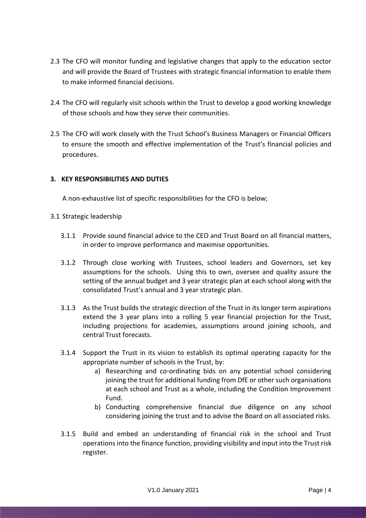- 2.3 The CFO will monitor funding and legislative changes that apply to the education sector and will provide the Board of Trustees with strategic financial information to enable them to make informed financial decisions.
- 2.4 The CFO will regularly visit schools within the Trust to develop a good working knowledge of those schools and how they serve their communities.
- 2.5 The CFO will work closely with the Trust School's Business Managers or Financial Officers to ensure the smooth and effective implementation of the Trust's financial policies and procedures.

# <span id="page-3-0"></span>**3. KEY RESPONSIBILITIES AND DUTIES**

A non-exhaustive list of specific responsibilities for the CFO is below;

- 3.1 Strategic leadership
	- 3.1.1 Provide sound financial advice to the CEO and Trust Board on all financial matters, in order to improve performance and maximise opportunities.
	- 3.1.2 Through close working with Trustees, school leaders and Governors, set key assumptions for the schools. Using this to own, oversee and quality assure the setting of the annual budget and 3 year strategic plan at each school along with the consolidated Trust's annual and 3 year strategic plan.
	- 3.1.3 As the Trust builds the strategic direction of the Trust in its longer term aspirations extend the 3 year plans into a rolling 5 year financial projection for the Trust, including projections for academies, assumptions around joining schools, and central Trust forecasts.
	- 3.1.4 Support the Trust in its vision to establish its optimal operating capacity for the appropriate number of schools in the Trust, by:
		- a) Researching and co-ordinating bids on any potential school considering joining the trust for additional funding from DfE or other such organisations at each school and Trust as a whole, including the Condition Improvement Fund.
		- b) Conducting comprehensive financial due diligence on any school considering joining the trust and to advise the Board on all associated risks.
	- 3.1.5 Build and embed an understanding of financial risk in the school and Trust operations into the finance function, providing visibility and input into the Trust risk register.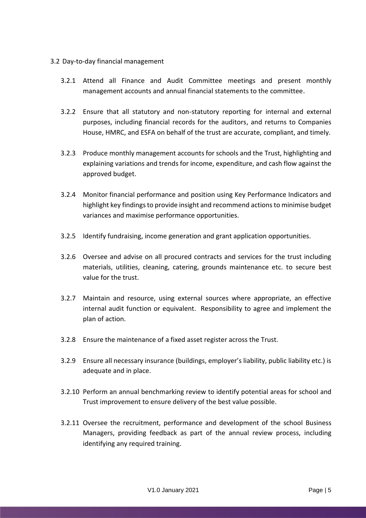#### 3.2 Day-to-day financial management

- 3.2.1 Attend all Finance and Audit Committee meetings and present monthly management accounts and annual financial statements to the committee.
- 3.2.2 Ensure that all statutory and non-statutory reporting for internal and external purposes, including financial records for the auditors, and returns to Companies House, HMRC, and ESFA on behalf of the trust are accurate, compliant, and timely.
- 3.2.3 Produce monthly management accounts for schools and the Trust, highlighting and explaining variations and trends for income, expenditure, and cash flow against the approved budget.
- 3.2.4 Monitor financial performance and position using Key Performance Indicators and highlight key findings to provide insight and recommend actions to minimise budget variances and maximise performance opportunities.
- 3.2.5 Identify fundraising, income generation and grant application opportunities.
- 3.2.6 Oversee and advise on all procured contracts and services for the trust including materials, utilities, cleaning, catering, grounds maintenance etc. to secure best value for the trust.
- 3.2.7 Maintain and resource, using external sources where appropriate, an effective internal audit function or equivalent. Responsibility to agree and implement the plan of action.
- 3.2.8 Ensure the maintenance of a fixed asset register across the Trust.
- 3.2.9 Ensure all necessary insurance (buildings, employer's liability, public liability etc.) is adequate and in place.
- 3.2.10 Perform an annual benchmarking review to identify potential areas for school and Trust improvement to ensure delivery of the best value possible.
- 3.2.11 Oversee the recruitment, performance and development of the school Business Managers, providing feedback as part of the annual review process, including identifying any required training.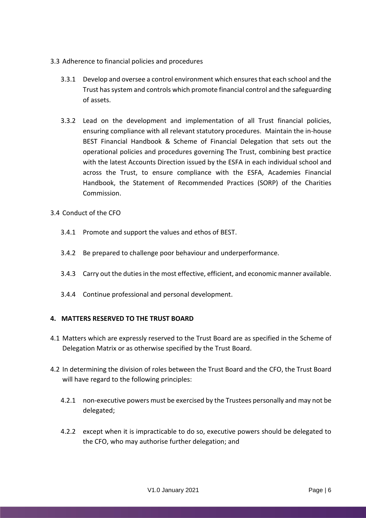- 3.3 Adherence to financial policies and procedures
	- 3.3.1 Develop and oversee a control environment which ensures that each school and the Trust has system and controls which promote financial control and the safeguarding of assets.
	- 3.3.2 Lead on the development and implementation of all Trust financial policies, ensuring compliance with all relevant statutory procedures. Maintain the in-house BEST Financial Handbook & Scheme of Financial Delegation that sets out the operational policies and procedures governing The Trust, combining best practice with the latest Accounts Direction issued by the ESFA in each individual school and across the Trust, to ensure compliance with the ESFA, Academies Financial Handbook, the Statement of Recommended Practices (SORP) of the Charities Commission.
- 3.4 Conduct of the CFO
	- 3.4.1 Promote and support the values and ethos of BEST.
	- 3.4.2 Be prepared to challenge poor behaviour and underperformance.
	- 3.4.3 Carry out the duties in the most effective, efficient, and economic manner available.
	- 3.4.4 Continue professional and personal development.

#### <span id="page-5-0"></span>**4. MATTERS RESERVED TO THE TRUST BOARD**

- 4.1 Matters which are expressly reserved to the Trust Board are as specified in the Scheme of Delegation Matrix or as otherwise specified by the Trust Board.
- 4.2 In determining the division of roles between the Trust Board and the CFO, the Trust Board will have regard to the following principles:
	- 4.2.1 non-executive powers must be exercised by the Trustees personally and may not be delegated;
	- 4.2.2 except when it is impracticable to do so, executive powers should be delegated to the CFO, who may authorise further delegation; and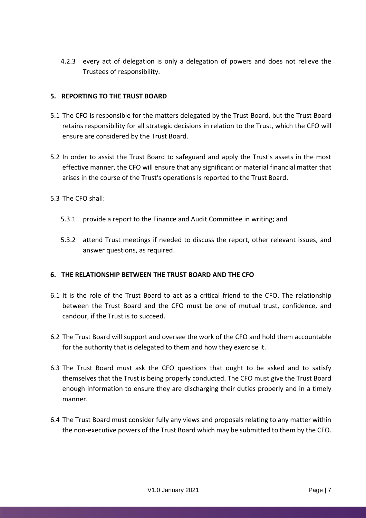4.2.3 every act of delegation is only a delegation of powers and does not relieve the Trustees of responsibility.

## <span id="page-6-0"></span>**5. REPORTING TO THE TRUST BOARD**

- 5.1 The CFO is responsible for the matters delegated by the Trust Board, but the Trust Board retains responsibility for all strategic decisions in relation to the Trust, which the CFO will ensure are considered by the Trust Board.
- 5.2 In order to assist the Trust Board to safeguard and apply the Trust's assets in the most effective manner, the CFO will ensure that any significant or material financial matter that arises in the course of the Trust's operations is reported to the Trust Board.
- 5.3 The CFO shall:
	- 5.3.1 provide a report to the Finance and Audit Committee in writing; and
	- 5.3.2 attend Trust meetings if needed to discuss the report, other relevant issues, and answer questions, as required.

#### <span id="page-6-1"></span>**6. THE RELATIONSHIP BETWEEN THE TRUST BOARD AND THE CFO**

- 6.1 It is the role of the Trust Board to act as a critical friend to the CFO. The relationship between the Trust Board and the CFO must be one of mutual trust, confidence, and candour, if the Trust is to succeed.
- 6.2 The Trust Board will support and oversee the work of the CFO and hold them accountable for the authority that is delegated to them and how they exercise it.
- 6.3 The Trust Board must ask the CFO questions that ought to be asked and to satisfy themselves that the Trust is being properly conducted. The CFO must give the Trust Board enough information to ensure they are discharging their duties properly and in a timely manner.
- 6.4 The Trust Board must consider fully any views and proposals relating to any matter within the non-executive powers of the Trust Board which may be submitted to them by the CFO.